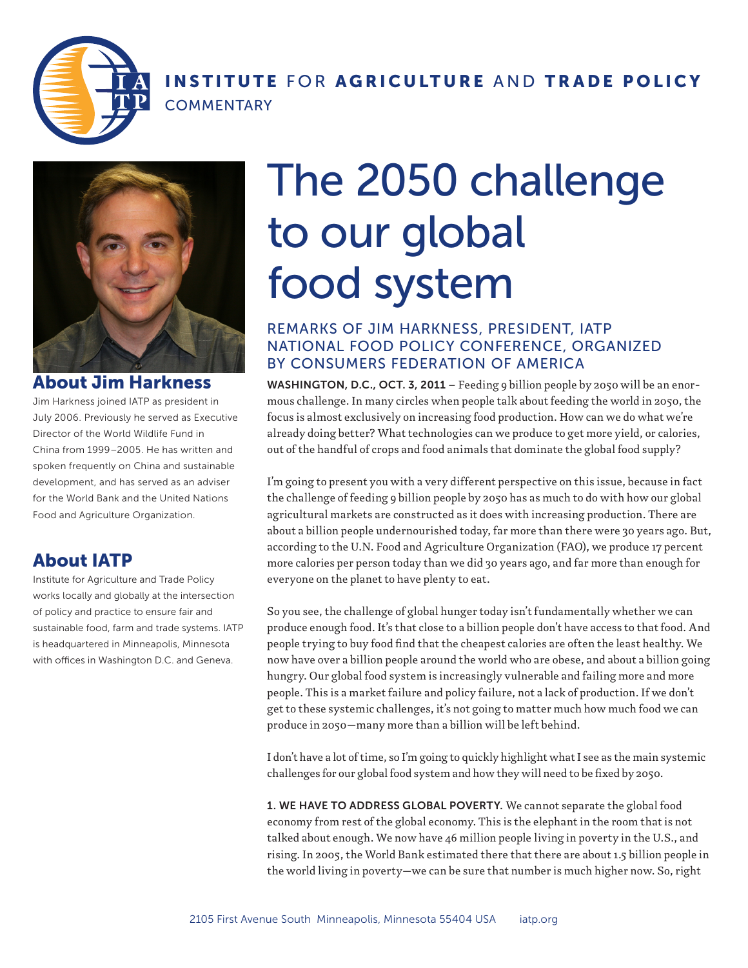

### INSTITUTE FOR AGRICULTURE AND TRADE POLICY **COMMENTARY**



#### About Jim Harkness

Jim Harkness joined IATP as president in July 2006. Previously he served as Executive Director of the World Wildlife Fund in China from 1999–2005. He has written and spoken frequently on China and sustainable development, and has served as an adviser for the World Bank and the United Nations Food and Agriculture Organization.

## About IATP

Institute for Agriculture and Trade Policy works locally and globally at the intersection of policy and practice to ensure fair and sustainable food, farm and trade systems. IATP is headquartered in Minneapolis, Minnesota with offices in Washington D.C. and Geneva.

# The 2050 challenge to our global food system

#### REMARKS OF JIM HARKNESS, PRESIDENT, IATP NATIONAL FOOD POLICY CONFERENCE, ORGANIZED BY CONSUMERS FEDERATION OF AMERICA

WASHINGTON, D.C., OCT. 3, 2011 – Feeding 9 billion people by 2050 will be an enormous challenge. In many circles when people talk about feeding the world in 2050, the focus is almost exclusively on increasing food production. How can we do what we're already doing better? What technologies can we produce to get more yield, or calories, out of the handful of crops and food animals that dominate the global food supply?

I'm going to present you with a very different perspective on this issue, because in fact the challenge of feeding 9 billion people by 2050 has as much to do with how our global agricultural markets are constructed as it does with increasing production. There are about a billion people undernourished today, far more than there were 30 years ago. But, according to the U.N. Food and Agriculture Organization (FAO), we produce 17 percent more calories per person today than we did 30 years ago, and far more than enough for everyone on the planet to have plenty to eat.

So you see, the challenge of global hunger today isn't fundamentally whether we can produce enough food. It's that close to a billion people don't have access to that food. And people trying to buy food find that the cheapest calories are often the least healthy. We now have over a billion people around the world who are obese, and about a billion going hungry. Our global food system is increasingly vulnerable and failing more and more people. This is a market failure and policy failure, not a lack of production. If we don't get to these systemic challenges, it's not going to matter much how much food we can produce in 2050—many more than a billion will be left behind.

I don't have a lot of time, so I'm going to quickly highlight what I see as the main systemic challenges for our global food system and how they will need to be fixed by 2050.

1. WE HAVE TO ADDRESS GLOBAL POVERTY. We cannot separate the global food economy from rest of the global economy. This is the elephant in the room that is not talked about enough. We now have 46 million people living in poverty in the U.S., and rising. In 2005, the World Bank estimated there that there are about 1.5 billion people in the world living in poverty—we can be sure that number is much higher now. So, right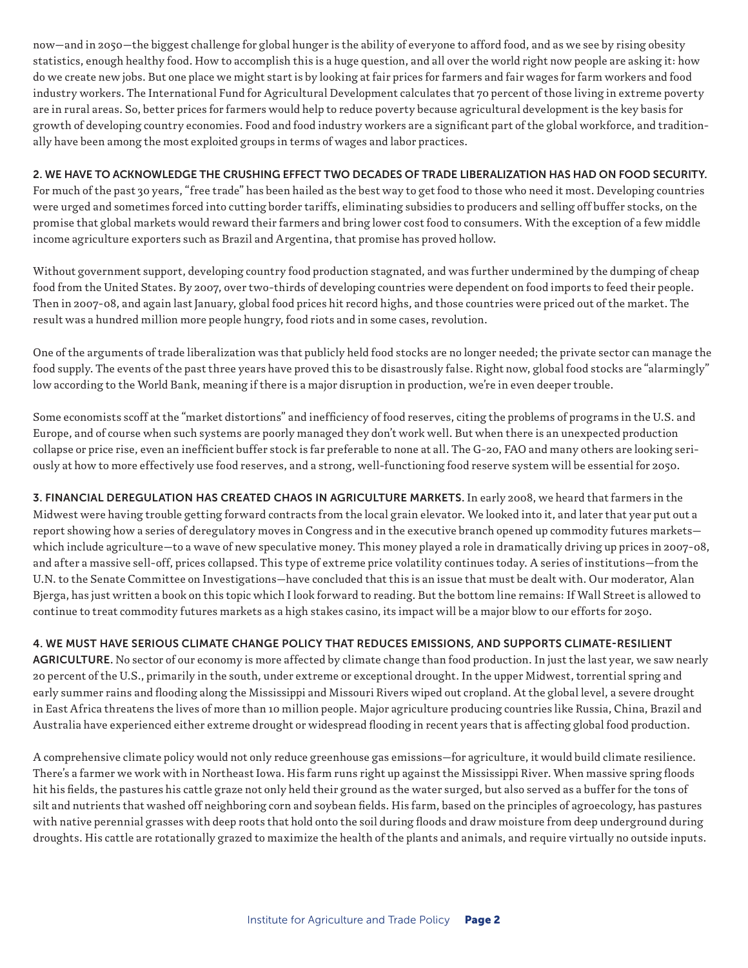now—and in 2050—the biggest challenge for global hunger is the ability of everyone to afford food, and as we see by rising obesity statistics, enough healthy food. How to accomplish this is a huge question, and all over the world right now people are asking it: how do we create new jobs. But one place we might start is by looking at fair prices for farmers and fair wages for farm workers and food industry workers. The International Fund for Agricultural Development calculates that 70 percent of those living in extreme poverty are in rural areas. So, better prices for farmers would help to reduce poverty because agricultural development is the key basis for growth of developing country economies. Food and food industry workers are a significant part of the global workforce, and traditionally have been among the most exploited groups in terms of wages and labor practices.

#### 2. WE HAVE TO ACKNOWLEDGE THE CRUSHING EFFECT TWO DECADES OF TRADE LIBERALIZATION HAS HAD ON FOOD SECURITY.

For much of the past 30 years, "free trade" has been hailed as the best way to get food to those who need it most. Developing countries were urged and sometimes forced into cutting border tariffs, eliminating subsidies to producers and selling off buffer stocks, on the promise that global markets would reward their farmers and bring lower cost food to consumers. With the exception of a few middle income agriculture exporters such as Brazil and Argentina, that promise has proved hollow.

Without government support, developing country food production stagnated, and was further undermined by the dumping of cheap food from the United States. By 2007, over two-thirds of developing countries were dependent on food imports to feed their people. Then in 2007-08, and again last January, global food prices hit record highs, and those countries were priced out of the market. The result was a hundred million more people hungry, food riots and in some cases, revolution.

One of the arguments of trade liberalization was that publicly held food stocks are no longer needed; the private sector can manage the food supply. The events of the past three years have proved this to be disastrously false. Right now, global food stocks are "alarmingly" low according to the World Bank, meaning if there is a major disruption in production, we're in even deeper trouble.

Some economists scoff at the "market distortions" and inefficiency of food reserves, citing the problems of programs in the U.S. and Europe, and of course when such systems are poorly managed they don't work well. But when there is an unexpected production collapse or price rise, even an inefficient buffer stock is far preferable to none at all. The G-20, FAO and many others are looking seriously at how to more effectively use food reserves, and a strong, well-functioning food reserve system will be essential for 2050.

3. FINANCIAL DEREGULATION HAS CREATED CHAOS IN AGRICULTURE MARKETS. In early 2008, we heard that farmers in the Midwest were having trouble getting forward contracts from the local grain elevator. We looked into it, and later that year put out a report showing how a series of deregulatory moves in Congress and in the executive branch opened up commodity futures markets which include agriculture—to a wave of new speculative money. This money played a role in dramatically driving up prices in 2007-08, and after a massive sell-off, prices collapsed. This type of extreme price volatility continues today. A series of institutions—from the U.N. to the Senate Committee on Investigations—have concluded that this is an issue that must be dealt with. Our moderator, Alan Bjerga, has just written a book on this topic which I look forward to reading. But the bottom line remains: If Wall Street is allowed to continue to treat commodity futures markets as a high stakes casino, its impact will be a major blow to our efforts for 2050.

#### 4. WE MUST HAVE SERIOUS CLIMATE CHANGE POLICY THAT REDUCES EMISSIONS, AND SUPPORTS CLIMATE-RESILIENT

AGRICULTURE. No sector of our economy is more affected by climate change than food production. In just the last year, we saw nearly 20 percent of the U.S., primarily in the south, under extreme or exceptional drought. In the upper Midwest, torrential spring and early summer rains and flooding along the Mississippi and Missouri Rivers wiped out cropland. At the global level, a severe drought in East Africa threatens the lives of more than 10 million people. Major agriculture producing countries like Russia, China, Brazil and Australia have experienced either extreme drought or widespread flooding in recent years that is affecting global food production.

A comprehensive climate policy would not only reduce greenhouse gas emissions—for agriculture, it would build climate resilience. There's a farmer we work with in Northeast Iowa. His farm runs right up against the Mississippi River. When massive spring floods hit his fields, the pastures his cattle graze not only held their ground as the water surged, but also served as a buffer for the tons of silt and nutrients that washed off neighboring corn and soybean fields. His farm, based on the principles of agroecology, has pastures with native perennial grasses with deep roots that hold onto the soil during floods and draw moisture from deep underground during droughts. His cattle are rotationally grazed to maximize the health of the plants and animals, and require virtually no outside inputs.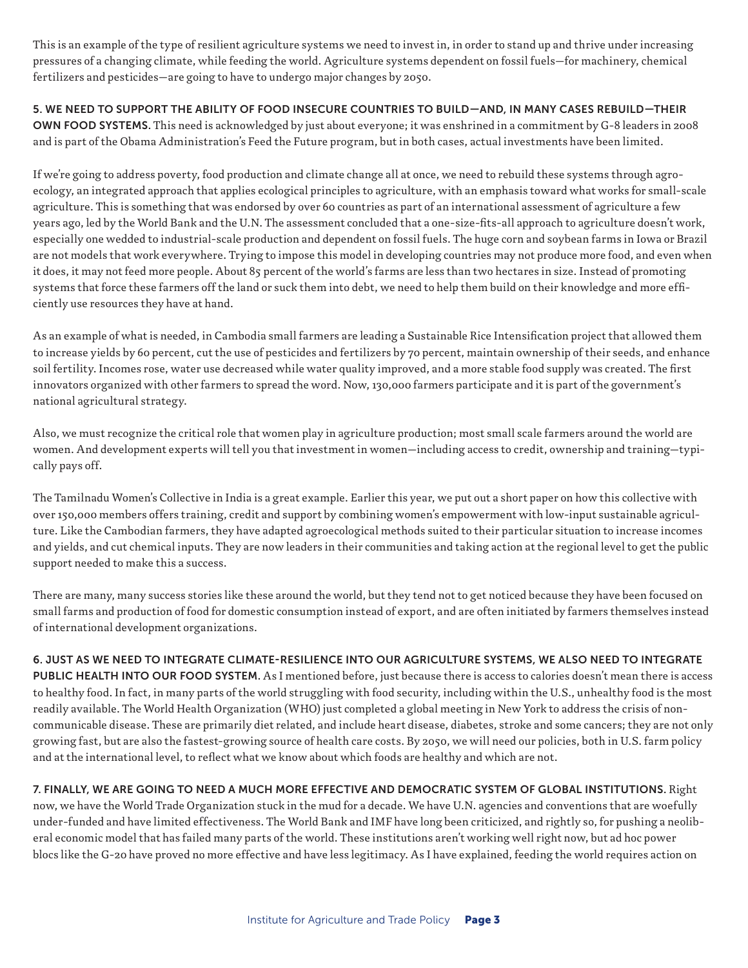This is an example of the type of resilient agriculture systems we need to invest in, in order to stand up and thrive under increasing pressures of a changing climate, while feeding the world. Agriculture systems dependent on fossil fuels—for machinery, chemical fertilizers and pesticides—are going to have to undergo major changes by 2050.

5. WE NEED TO SUPPORT THE ABILITY OF FOOD INSECURE COUNTRIES TO BUILD—AND, IN MANY CASES REBUILD—THEIR OWN FOOD SYSTEMS. This need is acknowledged by just about everyone; it was enshrined in a commitment by G-8 leaders in 2008 and is part of the Obama Administration's Feed the Future program, but in both cases, actual investments have been limited.

If we're going to address poverty, food production and climate change all at once, we need to rebuild these systems through agroecology, an integrated approach that applies ecological principles to agriculture, with an emphasis toward what works for small-scale agriculture. This is something that was endorsed by over 60 countries as part of an international assessment of agriculture a few years ago, led by the World Bank and the U.N. The assessment concluded that a one-size-fits-all approach to agriculture doesn't work, especially one wedded to industrial-scale production and dependent on fossil fuels. The huge corn and soybean farms in Iowa or Brazil are not models that work everywhere. Trying to impose this model in developing countries may not produce more food, and even when it does, it may not feed more people. About 85 percent of the world's farms are less than two hectares in size. Instead of promoting systems that force these farmers off the land or suck them into debt, we need to help them build on their knowledge and more efficiently use resources they have at hand.

As an example of what is needed, in Cambodia small farmers are leading a Sustainable Rice Intensification project that allowed them to increase yields by 60 percent, cut the use of pesticides and fertilizers by 70 percent, maintain ownership of their seeds, and enhance soil fertility. Incomes rose, water use decreased while water quality improved, and a more stable food supply was created. The first innovators organized with other farmers to spread the word. Now, 130,000 farmers participate and it is part of the government's national agricultural strategy.

Also, we must recognize the critical role that women play in agriculture production; most small scale farmers around the world are women. And development experts will tell you that investment in women—including access to credit, ownership and training—typically pays off.

The Tamilnadu Women's Collective in India is a great example. Earlier this year, we put out a short paper on how this collective with over 150,000 members offers training, credit and support by combining women's empowerment with low-input sustainable agriculture. Like the Cambodian farmers, they have adapted agroecological methods suited to their particular situation to increase incomes and yields, and cut chemical inputs. They are now leaders in their communities and taking action at the regional level to get the public support needed to make this a success.

There are many, many success stories like these around the world, but they tend not to get noticed because they have been focused on small farms and production of food for domestic consumption instead of export, and are often initiated by farmers themselves instead of international development organizations.

# 6. JUST AS WE NEED TO INTEGRATE CLIMATE-RESILIENCE INTO OUR AGRICULTURE SYSTEMS, WE ALSO NEED TO INTEGRATE

PUBLIC HEALTH INTO OUR FOOD SYSTEM. As I mentioned before, just because there is access to calories doesn't mean there is access to healthy food. In fact, in many parts of the world struggling with food security, including within the U.S., unhealthy food is the most readily available. The World Health Organization (WHO) just completed a global meeting in New York to address the crisis of noncommunicable disease. These are primarily diet related, and include heart disease, diabetes, stroke and some cancers; they are not only growing fast, but are also the fastest-growing source of health care costs. By 2050, we will need our policies, both in U.S. farm policy and at the international level, to reflect what we know about which foods are healthy and which are not.

7. FINALLY, WE ARE GOING TO NEED A MUCH MORE EFFECTIVE AND DEMOCRATIC SYSTEM OF GLOBAL INSTITUTIONS. Right now, we have the World Trade Organization stuck in the mud for a decade. We have U.N. agencies and conventions that are woefully under-funded and have limited effectiveness. The World Bank and IMF have long been criticized, and rightly so, for pushing a neoliberal economic model that has failed many parts of the world. These institutions aren't working well right now, but ad hoc power blocs like the G-20 have proved no more effective and have less legitimacy. As I have explained, feeding the world requires action on